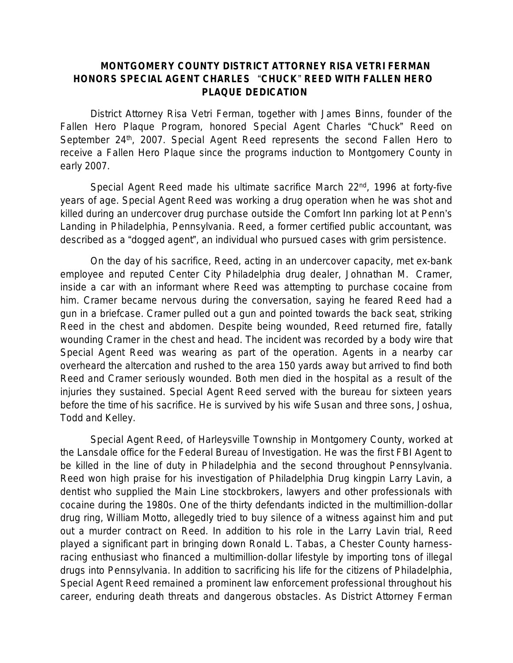## **MONTGOMERY COUNTY DISTRICT ATTORNEY RISA VETRI FERMAN HONORS SPECIAL AGENT CHARLES** "**CHUCK**" **REED WITH FALLEN HERO PLAQUE DEDICATION**

District Attorney Risa Vetri Ferman, together with James Binns, founder of the Fallen Hero Plaque Program, honored Special Agent Charles "Chuck" Reed on September 24<sup>th</sup>, 2007. Special Agent Reed represents the second Fallen Hero to receive a Fallen Hero Plaque since the programs induction to Montgomery County in early 2007.

Special Agent Reed made his ultimate sacrifice March 22<sup>nd</sup>, 1996 at forty-five years of age. Special Agent Reed was working a drug operation when he was shot and killed during an undercover drug purchase outside the Comfort Inn parking lot at Penn's Landing in Philadelphia, Pennsylvania. Reed, a former certified public accountant, was described as a "dogged agent", an individual who pursued cases with grim persistence.

On the day of his sacrifice, Reed, acting in an undercover capacity, met ex-bank employee and reputed Center City Philadelphia drug dealer, Johnathan M. Cramer, inside a car with an informant where Reed was attempting to purchase cocaine from him. Cramer became nervous during the conversation, saying he feared Reed had a gun in a briefcase. Cramer pulled out a gun and pointed towards the back seat, striking Reed in the chest and abdomen. Despite being wounded, Reed returned fire, fatally wounding Cramer in the chest and head. The incident was recorded by a body wire that Special Agent Reed was wearing as part of the operation. Agents in a nearby car overheard the altercation and rushed to the area 150 yards away but arrived to find both Reed and Cramer seriously wounded. Both men died in the hospital as a result of the injuries they sustained. Special Agent Reed served with the bureau for sixteen years before the time of his sacrifice. He is survived by his wife Susan and three sons, Joshua, Todd and Kelley.

Special Agent Reed, of Harleysville Township in Montgomery County, worked at the Lansdale office for the Federal Bureau of Investigation. He was the first FBI Agent to be killed in the line of duty in Philadelphia and the second throughout Pennsylvania. Reed won high praise for his investigation of Philadelphia Drug kingpin Larry Lavin, a dentist who supplied the Main Line stockbrokers, lawyers and other professionals with cocaine during the 1980s. One of the thirty defendants indicted in the multimillion-dollar drug ring, William Motto, allegedly tried to buy silence of a witness against him and put out a murder contract on Reed. In addition to his role in the Larry Lavin trial, Reed played a significant part in bringing down Ronald L. Tabas, a Chester County harnessracing enthusiast who financed a multimillion-dollar lifestyle by importing tons of illegal drugs into Pennsylvania. In addition to sacrificing his life for the citizens of Philadelphia, Special Agent Reed remained a prominent law enforcement professional throughout his career, enduring death threats and dangerous obstacles. As District Attorney Ferman